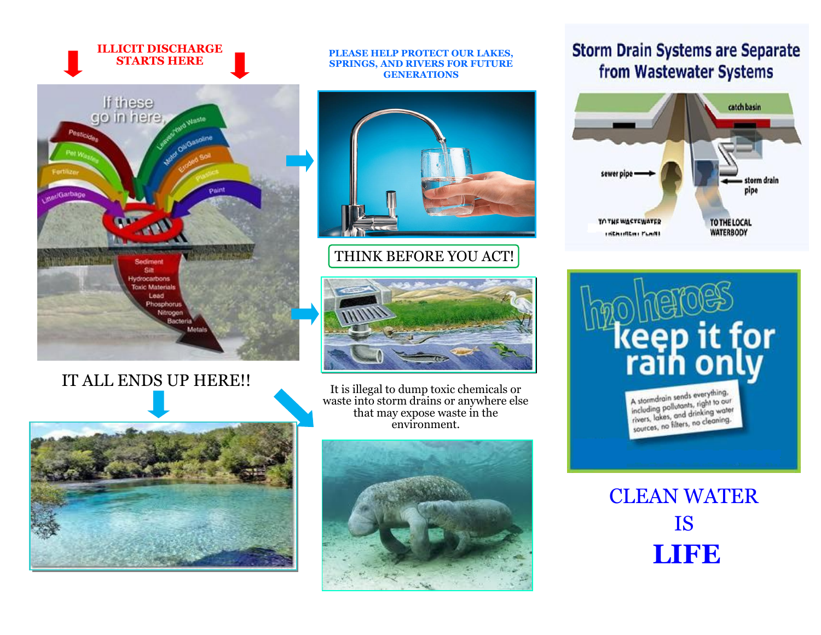#### **ILLICIT DISCHARGE STARTS HERE**



## IT ALL ENDS UP HERE!!



#### **PLEASE HELP PROTECT OUR LAKES, SPRINGS, AND RIVERS FOR FUTURE GENERATIONS**



### THINK BEFORE YOU ACT!



It is illegal to dump toxic chemicals or waste into storm drains or anywhere else that may expose waste in the environment.



### **Storm Drain Systems are Separate** from Wastewater Systems







# CLEAN WATER IS **LIFE**